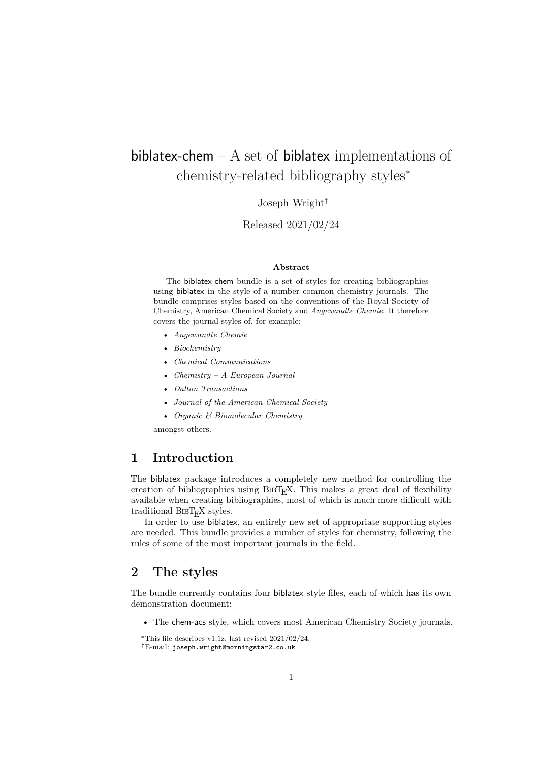# <span id="page-0-0"></span>biblatex-chem  $- A$  set of biblatex implementations of chemistry-related bibliography styles<sup>∗</sup>

Joseph Wright†

Released 2021/02/24

#### **Abstract**

The biblatex-chem bundle is a set of styles for creating bibliographies using biblatex in the style of a number common chemistry journals. The bundle comprises styles based on the conventions of the Royal Society of Chemistry, American Chemical Society and *Angewandte Chemie*. It therefore covers the journal styles of, for example:

- *Angewandte Chemie*
- *Biochemistry*
- *Chemical Communications*
- *Chemistry A European Journal*
- *Dalton Transactions*
- *Journal of the American Chemical Society*
- *Organic & Biomolecular Chemistry*

amongst others.

#### **1 Introduction**

The biblatex package introduces a completely new method for controlling the creation of bibliographies using  $BIBT<sub>F</sub>X$ . This makes a great deal of flexibility available when creating bibliographies, most of which is much more difficult with traditional BIBT<sub>E</sub>X styles.

In order to use biblatex, an entirely new set of appropriate supporting styles are needed. This bundle provides a number of styles for chemistry, following the rules of some of the most important journals in the field.

### **2 The styles**

The bundle currently contains four biblatex style files, each of which has its own demonstration document:

• The chem-acs style, which covers most American Chemistry Society journals.

<sup>∗</sup>This file describes v1.1z, last revised 2021/02/24.

<sup>†</sup>E-mail: [joseph.wright@morningstar2.co.uk](mailto:joseph.wright@morningstar2.co.uk)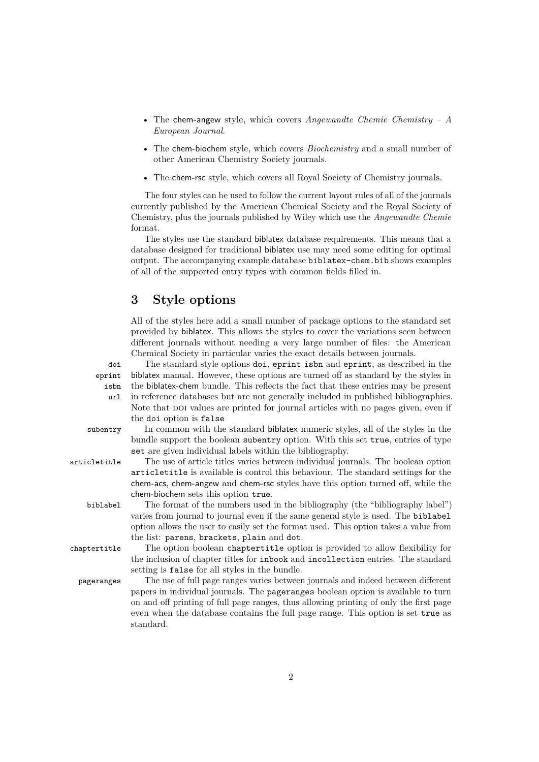- The [chem-angew](#page-0-0) style, which covers *Angewandte Chemie Chemistry A European Journal*.
- The [chem-biochem](#page-0-0) style, which covers *Biochemistry* and a small number of other American Chemistry Society journals.
- The [chem-rsc](#page-0-0) style, which covers all Royal Society of Chemistry journals.

The four styles can be used to follow the current layout rules of all of the journals currently published by the American Chemical Society and the Royal Society of Chemistry, plus the journals published by Wiley which use the *Angewandte Chemie* format.

The styles use the standard biblatex database requirements. This means that a database designed for traditional biblatex use may need some editing for optimal output. The accompanying example database biblatex-chem.bib shows examples of all of the supported entry types with common fields filled in.

#### **3 Style options**

All of the styles here add a small number of package options to the standard set provided by biblatex. This allows the styles to cover the variations seen between different journals without needing a very large number of files: the American Chemical Society in particular varies the exact details between journals.

eprint isbn

url

doi The standard style options doi, eprint isbn and eprint, as described in the biblatex manual. However, these options are turned off as standard by the styles in the biblatex-chem bundle. This reflects the fact that these entries may be present in reference databases but are not generally included in published bibliographies. Note that poi values are printed for journal articles with no pages given, even if the doi option is false

subentry In common with the standard biblatex numeric styles, all of the styles in the bundle support the boolean subentry option. With this set true, entries of type set are given individual labels within the bibliography.

articletitle The use of article titles varies between individual journals. The boolean option articletitle is available is control this behaviour. The standard settings for the chem-acs, chem-angew and chem-rsc styles have this option turned off, while the chem-biochem sets this option true.

biblabel The format of the numbers used in the bibliography (the "bibliography label") varies from journal to journal even if the same general style is used. The biblabel option allows the user to easily set the format used. This option takes a value from the list: parens, brackets, plain and dot.

chaptertitle The option boolean chaptertitle option is provided to allow flexibility for the inclusion of chapter titles for inbook and incollection entries. The standard setting is false for all styles in the bundle.

pageranges The use of full page ranges varies between journals and indeed between different papers in individual journals. The pageranges boolean option is available to turn on and off printing of full page ranges, thus allowing printing of only the first page even when the database contains the full page range. This option is set true as standard.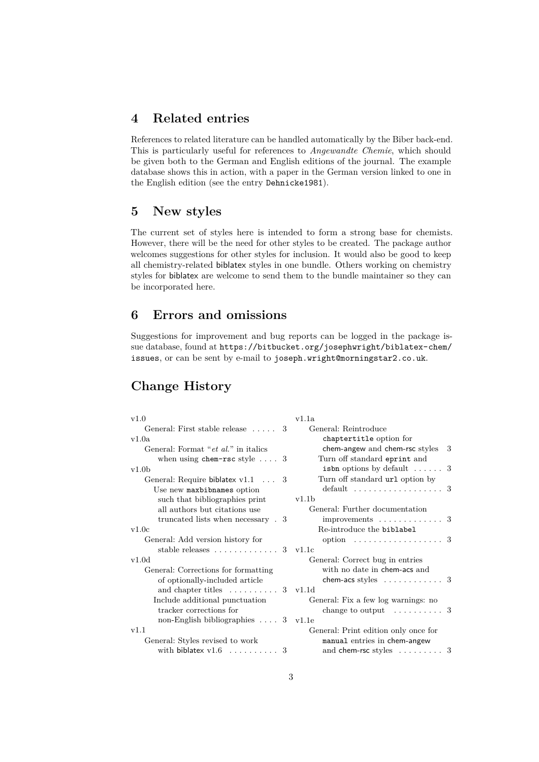# **4 Related entries**

References to related literature can be handled automatically by the Biber back-end. This is particularly useful for references to *Angewandte Chemie*, which should be given both to the German and English editions of the journal. The example database shows this in action, with a paper in the German version linked to one in the English edition (see the entry Dehnicke1981).

#### **5 New styles**

The current set of styles here is intended to form a strong base for chemists. However, there will be the need for other styles to be created. The package author welcomes suggestions for other styles for inclusion. It would also be good to keep all chemistry-related biblatex styles in one bundle. Others working on chemistry styles for biblatex are welcome to send them to the bundle maintainer so they can be incorporated here.

# **6 Errors and omissions**

Suggestions for improvement and bug reports can be logged in the package issue database, found at [https://bitbucket.org/josephwright/biblatex-chem/](https://bitbucket.org/josephwright/biblatex-chem/issues) [issues](https://bitbucket.org/josephwright/biblatex-chem/issues), or can be sent by e-mail to [joseph.wright@morningstar2.co.uk](mailto:joseph.wright@morningstar2.co.uk).

# **Change History**

| v1.0                                              | v1.1a                                         |
|---------------------------------------------------|-----------------------------------------------|
| General: First stable release  3                  | General: Reintroduce                          |
| v1.0a                                             | chaptertitle option for                       |
| General: Format " <i>et al.</i> " in italics      | chem-angew and chem-rsc styles<br>3           |
| when using chem-rsc style $\ldots$ 3              | Turn off standard eprint and                  |
| v1.0 <sub>b</sub>                                 | is bn options by default $\ldots$ .           |
| General: Require biblatex $v1.1$ 3                | Turn off standard url option by               |
| Use new maxbibnames option                        | default $\ldots \ldots \ldots \ldots \ldots$  |
| such that bibliographies print                    | v1.1b                                         |
| all authors but citations use                     | General: Further documentation                |
| truncated lists when necessary . 3                | improvements $\ldots \ldots \ldots \ldots 3$  |
| v1.0c                                             | Re-introduce the biblabel                     |
| General: Add version history for                  | option $\ldots \ldots \ldots \ldots \ldots 3$ |
| stable releases $\dots \dots \dots \dots 3$ v1.1c |                                               |
| v1.0d                                             | General: Correct bug in entries               |
| General: Corrections for formatting               | with no date in chem-acs and                  |
| of optionally-included article                    | chem-acs styles $\dots\dots\dots\dots$ 3      |
| and chapter titles $\dots \dots \dots 3$ v1.1d    |                                               |
| Include additional punctuation                    | General: Fix a few log warnings: no           |
| tracker corrections for                           | change to output $\dots \dots \dots 3$        |
| non-English bibliographies $\ldots$ 3             | v1.1e                                         |
| v1.1                                              | General: Print edition only once for          |
| General: Styles revised to work                   | manual entries in chem-angew                  |
| with biblatex $v1.6$ 3                            | and chem-rsc styles $\dots \dots \dots$ 3     |
|                                                   |                                               |